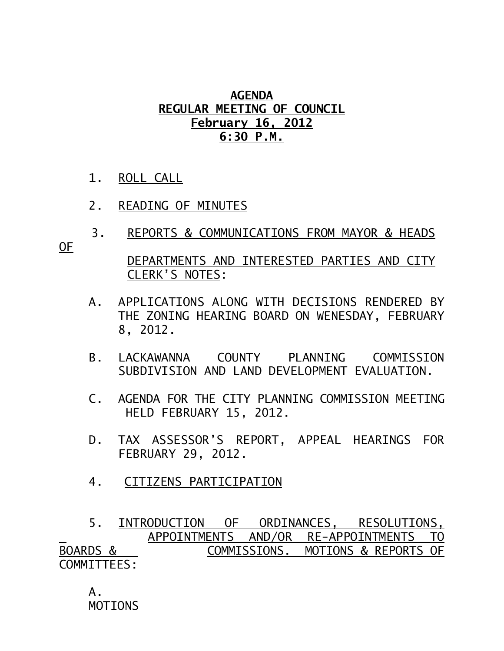## **AGENDA REGULAR MEETING OF COUNCIL February 16, 2012 6:30 P.M.**

- 1. ROLL CALL
- 2. READING OF MINUTES
- 3. REPORTS & COMMUNICATIONS FROM MAYOR & HEADS

OF

 DEPARTMENTS AND INTERESTED PARTIES AND CITY CLERK'S NOTES:

- A. APPLICATIONS ALONG WITH DECISIONS RENDERED BY THE ZONING HEARING BOARD ON WENESDAY, FEBRUARY 8, 2012.
- B. LACKAWANNA COUNTY PLANNING COMMISSION SUBDIVISION AND LAND DEVELOPMENT EVALUATION.
- C. AGENDA FOR THE CITY PLANNING COMMISSION MEETING HELD FEBRUARY 15, 2012.
- D. TAX ASSESSOR'S REPORT, APPEAL HEARINGS FOR FEBRUARY 29, 2012.
- 4. CITIZENS PARTICIPATION

 5. INTRODUCTION OF ORDINANCES, RESOLUTIONS, APPOINTMENTS AND/OR RE-APPOINTMENTS TO BOARDS & COMMISSIONS. MOTIONS & REPORTS OF COMMITTEES:

 $A<sub>-</sub>$ MOTIONS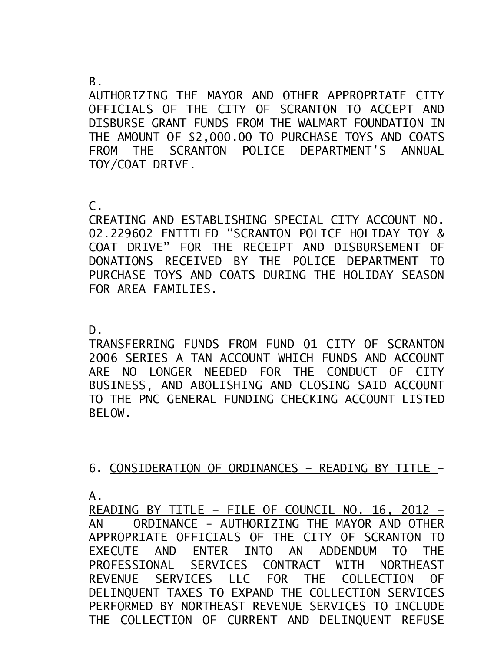## B.

AUTHORIZING THE MAYOR AND OTHER APPROPRIATE CITY OFFICIALS OF THE CITY OF SCRANTON TO ACCEPT AND DISBURSE GRANT FUNDS FROM THE WALMART FOUNDATION IN THE AMOUNT OF \$2,000.00 TO PURCHASE TOYS AND COATS FROM THE SCRANTON POLICE DEPARTMENT'S ANNUAL TOY/COAT DRIVE.

C.

CREATING AND ESTABLISHING SPECIAL CITY ACCOUNT NO. 02.229602 ENTITLED "SCRANTON POLICE HOLIDAY TOY & COAT DRIVE" FOR THE RECEIPT AND DISBURSEMENT OF DONATIONS RECEIVED BY THE POLICE DEPARTMENT TO PURCHASE TOYS AND COATS DURING THE HOLIDAY SEASON FOR AREA FAMILIES.

D.

TRANSFERRING FUNDS FROM FUND 01 CITY OF SCRANTON 2006 SERIES A TAN ACCOUNT WHICH FUNDS AND ACCOUNT ARE NO LONGER NEEDED FOR THE CONDUCT OF CITY BUSINESS, AND ABOLISHING AND CLOSING SAID ACCOUNT TO THE PNC GENERAL FUNDING CHECKING ACCOUNT LISTED BELOW.

6. CONSIDERATION OF ORDINANCES – READING BY TITLE –

A.

READING BY TITLE – FILE OF COUNCIL NO. 16, 2012 – AN ORDINANCE - AUTHORIZING THE MAYOR AND OTHER APPROPRIATE OFFICIALS OF THE CITY OF SCRANTON TO EXECUTE AND ENTER INTO AN ADDENDUM TO THE PROFESSIONAL SERVICES CONTRACT WITH NORTHEAST REVENUE SERVICES LLC FOR THE COLLECTION OF DELINQUENT TAXES TO EXPAND THE COLLECTION SERVICES PERFORMED BY NORTHEAST REVENUE SERVICES TO INCLUDE THE COLLECTION OF CURRENT AND DELINQUENT REFUSE